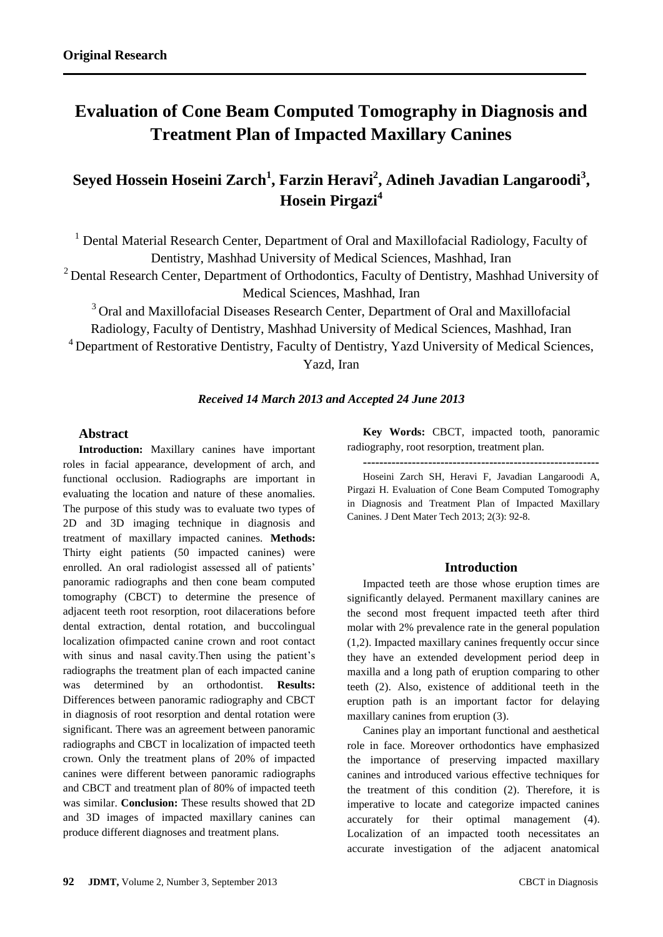# **Evaluation of Cone Beam Computed Tomography in Diagnosis and Treatment Plan of Impacted Maxillary Canines**

## **Seyed Hossein Hoseini Zarch<sup>1</sup> , Farzin Heravi<sup>2</sup> , Adineh Javadian Langaroodi<sup>3</sup> , Hosein Pirgazi<sup>4</sup>**

<sup>1</sup> Dental Material Research Center, Department of Oral and Maxillofacial Radiology, Faculty of Dentistry, Mashhad University of Medical Sciences, Mashhad, Iran

<sup>2</sup> Dental Research Center, Department of Orthodontics, Faculty of Dentistry, Mashhad University of Medical Sciences, Mashhad, Iran

<sup>3</sup> Oral and Maxillofacial Diseases Research Center, Department of Oral and Maxillofacial Radiology, Faculty of Dentistry, Mashhad University of Medical Sciences, Mashhad, Iran

<sup>4</sup> Department of Restorative Dentistry, Faculty of Dentistry, Yazd University of Medical Sciences,

Yazd, Iran

### *Received 14 March 2013 and Accepted 24 June 2013*

### **Abstract**

**Introduction:** Maxillary canines have important roles in facial appearance, development of arch, and functional occlusion. Radiographs are important in evaluating the location and nature of these anomalies. The purpose of this study was to evaluate two types of 2D and 3D imaging technique in diagnosis and treatment of maxillary impacted canines. **Methods:**  Thirty eight patients (50 impacted canines) were enrolled. An oral radiologist assessed all of patients' panoramic radiographs and then cone beam computed tomography (CBCT) to determine the presence of adjacent teeth root resorption, root dilacerations before dental extraction, dental rotation, and buccolingual localization ofimpacted canine crown and root contact with sinus and nasal cavity.Then using the patient's radiographs the treatment plan of each impacted canine was determined by an orthodontist. **Results:** Differences between panoramic radiography and CBCT in diagnosis of root resorption and dental rotation were significant. There was an agreement between panoramic radiographs and CBCT in localization of impacted teeth crown. Only the treatment plans of 20% of impacted canines were different between panoramic radiographs and CBCT and treatment plan of 80% of impacted teeth was similar. **Conclusion:** These results showed that 2D and 3D images of impacted maxillary canines can produce different diagnoses and treatment plans.

**Key Words:** CBCT, impacted tooth, panoramic radiography, root resorption, treatment plan.

**----------------------------------------------------------** Hoseini Zarch SH, Heravi F, Javadian Langaroodi A, Pirgazi H. Evaluation of Cone Beam Computed Tomography in Diagnosis and Treatment Plan of Impacted Maxillary Canines. J Dent Mater Tech 2013; 2(3): 92-8.

### **Introduction**

Impacted teeth are those whose eruption times are significantly delayed. Permanent maxillary canines are the second most frequent impacted teeth after third molar with 2% prevalence rate in the general population (1,2). Impacted maxillary canines frequently occur since they have an extended development period deep in maxilla and a long path of eruption comparing to other teeth (2). Also, existence of additional teeth in the eruption path is an important factor for delaying maxillary canines from eruption (3).

Canines play an important functional and aesthetical role in face. Moreover orthodontics have emphasized the importance of preserving impacted maxillary canines and introduced various effective techniques for the treatment of this condition (2). Therefore, it is imperative to locate and categorize impacted canines accurately for their optimal management (4). Localization of an impacted tooth necessitates an accurate investigation of the adjacent anatomical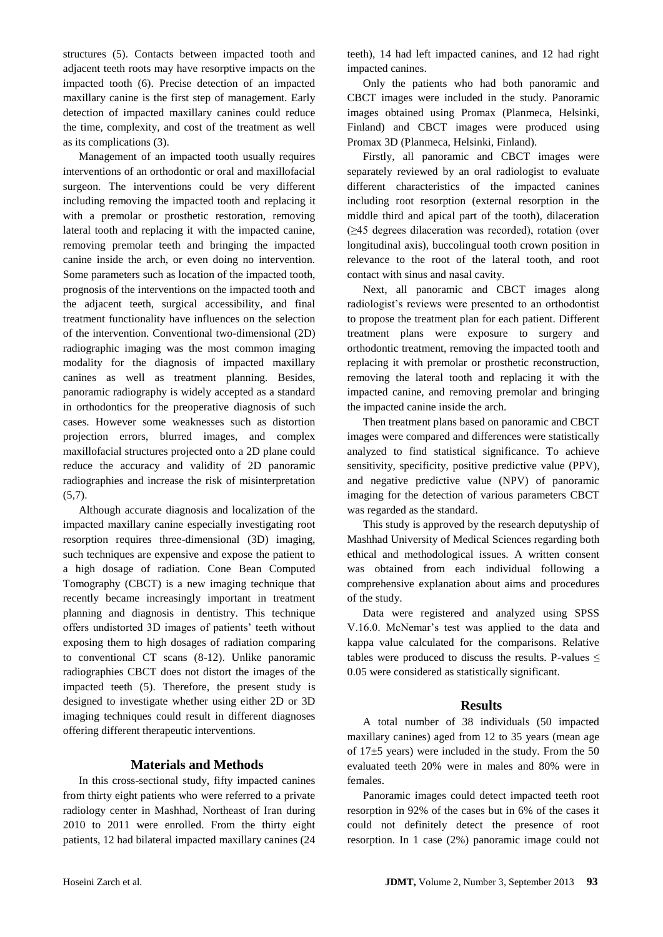structures (5). Contacts between impacted tooth and adjacent teeth roots may have resorptive impacts on the impacted tooth (6). Precise detection of an impacted maxillary canine is the first step of management. Early detection of impacted maxillary canines could reduce the time, complexity, and cost of the treatment as well as its complications (3).

Management of an impacted tooth usually requires interventions of an orthodontic or oral and maxillofacial surgeon. The interventions could be very different including removing the impacted tooth and replacing it with a premolar or prosthetic restoration, removing lateral tooth and replacing it with the impacted canine, removing premolar teeth and bringing the impacted canine inside the arch, or even doing no intervention. Some parameters such as location of the impacted tooth, prognosis of the interventions on the impacted tooth and the adjacent teeth, surgical accessibility, and final treatment functionality have influences on the selection of the intervention. Conventional two-dimensional (2D) radiographic imaging was the most common imaging modality for the diagnosis of impacted maxillary canines as well as treatment planning. Besides, panoramic radiography is widely accepted as a standard in orthodontics for the preoperative diagnosis of such cases. However some weaknesses such as distortion projection errors, blurred images, and complex maxillofacial structures projected onto a 2D plane could reduce the accuracy and validity of 2D panoramic radiographies and increase the risk of misinterpretation  $(5,7)$ .

Although accurate diagnosis and localization of the impacted maxillary canine especially investigating root resorption requires three-dimensional (3D) imaging, such techniques are expensive and expose the patient to a high dosage of radiation. Cone Bean Computed Tomography (CBCT) is a new imaging technique that recently became increasingly important in treatment planning and diagnosis in dentistry. This technique offers undistorted 3D images of patients' teeth without exposing them to high dosages of radiation comparing to conventional CT scans (8-12). Unlike panoramic radiographies CBCT does not distort the images of the impacted teeth (5). Therefore, the present study is designed to investigate whether using either 2D or 3D imaging techniques could result in different diagnoses offering different therapeutic interventions.

### **Materials and Methods**

In this cross-sectional study, fifty impacted canines from thirty eight patients who were referred to a private radiology center in Mashhad, Northeast of Iran during 2010 to 2011 were enrolled. From the thirty eight patients, 12 had bilateral impacted maxillary canines (24 teeth), 14 had left impacted canines, and 12 had right impacted canines.

Only the patients who had both panoramic and CBCT images were included in the study. Panoramic images obtained using Promax (Planmeca, Helsinki, Finland) and CBCT images were produced using Promax 3D (Planmeca, Helsinki, Finland).

Firstly, all panoramic and CBCT images were separately reviewed by an oral radiologist to evaluate different characteristics of the impacted canines including root resorption (external resorption in the middle third and apical part of the tooth), dilaceration (≥45 degrees dilaceration was recorded), rotation (over longitudinal axis), buccolingual tooth crown position in relevance to the root of the lateral tooth, and root contact with sinus and nasal cavity.

Next, all panoramic and CBCT images along radiologist's reviews were presented to an orthodontist to propose the treatment plan for each patient. Different treatment plans were exposure to surgery and orthodontic treatment, removing the impacted tooth and replacing it with premolar or prosthetic reconstruction, removing the lateral tooth and replacing it with the impacted canine, and removing premolar and bringing the impacted canine inside the arch.

Then treatment plans based on panoramic and CBCT images were compared and differences were statistically analyzed to find statistical significance. To achieve sensitivity, specificity, positive predictive value (PPV), and negative predictive value (NPV) of panoramic imaging for the detection of various parameters CBCT was regarded as the standard.

This study is approved by the research deputyship of Mashhad University of Medical Sciences regarding both ethical and methodological issues. A written consent was obtained from each individual following a comprehensive explanation about aims and procedures of the study.

Data were registered and analyzed using SPSS V.16.0. McNemar's test was applied to the data and kappa value calculated for the comparisons. Relative tables were produced to discuss the results. P-values  $\leq$ 0.05 were considered as statistically significant.

### **Results**

A total number of 38 individuals (50 impacted maxillary canines) aged from 12 to 35 years (mean age of 17±5 years) were included in the study. From the 50 evaluated teeth 20% were in males and 80% were in females.

Panoramic images could detect impacted teeth root resorption in 92% of the cases but in 6% of the cases it could not definitely detect the presence of root resorption. In 1 case (2%) panoramic image could not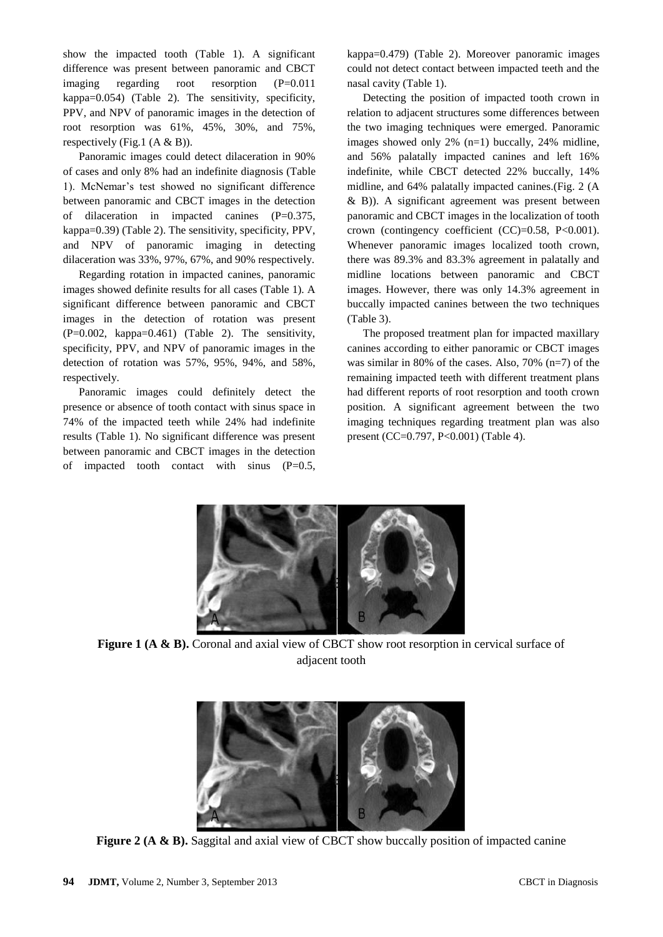show the impacted tooth (Table 1). A significant difference was present between panoramic and CBCT imaging regarding root resorption (P=0.011 kappa=0.054) (Table 2). The sensitivity, specificity, PPV, and NPV of panoramic images in the detection of root resorption was 61%, 45%, 30%, and 75%, respectively (Fig.1  $(A & B)$ ).

Panoramic images could detect dilaceration in 90% of cases and only 8% had an indefinite diagnosis (Table 1). McNemar's test showed no significant difference between panoramic and CBCT images in the detection of dilaceration in impacted canines (P=0.375, kappa=0.39) (Table 2). The sensitivity, specificity, PPV, and NPV of panoramic imaging in detecting dilaceration was 33%, 97%, 67%, and 90% respectively.

Regarding rotation in impacted canines, panoramic images showed definite results for all cases (Table 1). A significant difference between panoramic and CBCT images in the detection of rotation was present (P=0.002, kappa=0.461) (Table 2). The sensitivity, specificity, PPV, and NPV of panoramic images in the detection of rotation was 57%, 95%, 94%, and 58%, respectively.

Panoramic images could definitely detect the presence or absence of tooth contact with sinus space in 74% of the impacted teeth while 24% had indefinite results (Table 1). No significant difference was present between panoramic and CBCT images in the detection of impacted tooth contact with sinus  $(P=0.5,$ 

kappa=0.479) (Table 2). Moreover panoramic images could not detect contact between impacted teeth and the nasal cavity (Table 1).

Detecting the position of impacted tooth crown in relation to adjacent structures some differences between the two imaging techniques were emerged. Panoramic images showed only 2% (n=1) buccally, 24% midline, and 56% palatally impacted canines and left 16% indefinite, while CBCT detected 22% buccally, 14% midline, and 64% palatally impacted canines.(Fig. 2 (A & B)). A significant agreement was present between panoramic and CBCT images in the localization of tooth crown (contingency coefficient  $(CC)=0.58$ ,  $P<0.001$ ). Whenever panoramic images localized tooth crown, there was 89.3% and 83.3% agreement in palatally and midline locations between panoramic and CBCT images. However, there was only 14.3% agreement in buccally impacted canines between the two techniques (Table 3).

The proposed treatment plan for impacted maxillary canines according to either panoramic or CBCT images was similar in 80% of the cases. Also, 70% (n=7) of the remaining impacted teeth with different treatment plans had different reports of root resorption and tooth crown position. A significant agreement between the two imaging techniques regarding treatment plan was also present (CC=0.797, P<0.001) (Table 4).



**Figure 1 (A & B).** Coronal and axial view of CBCT show root resorption in cervical surface of adjacent tooth



**Figure 2 (A & B).** Saggital and axial view of CBCT show buccally position of impacted canine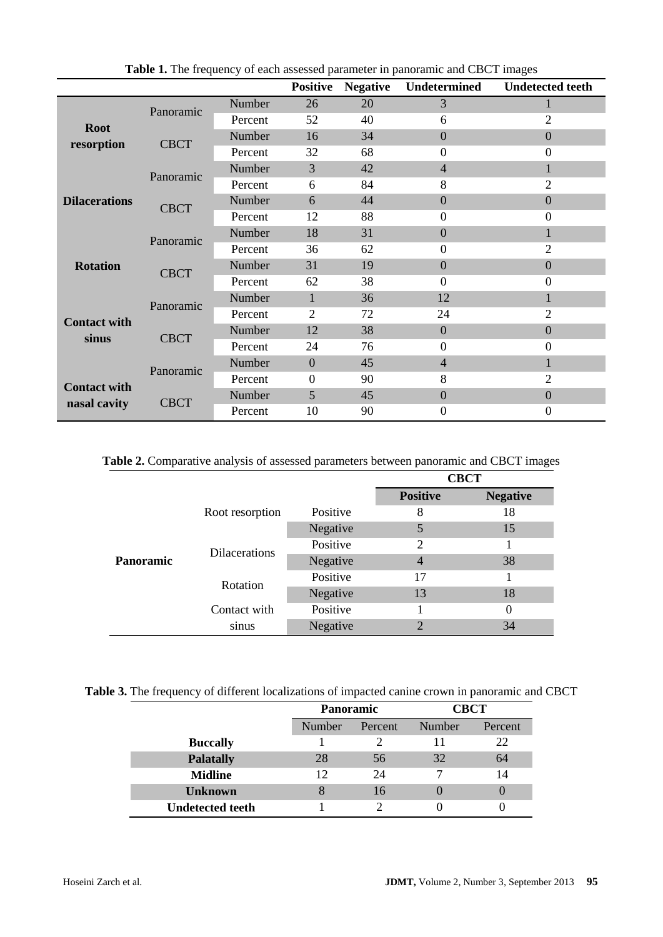|                                                                     |             |         | <b>Positive</b>  | <b>Negative</b> | Undetermined     | <b>Undetected teeth</b> |
|---------------------------------------------------------------------|-------------|---------|------------------|-----------------|------------------|-------------------------|
| <b>Root</b><br>resorption                                           | Panoramic   | Number  | 26               | 20              | 3                |                         |
|                                                                     |             | Percent | 52               | 40              | 6                | $\overline{2}$          |
|                                                                     | <b>CBCT</b> | Number  | 16               | 34              | $\overline{0}$   | $\overline{0}$          |
|                                                                     |             | Percent | 32               | 68              | $\mathbf{0}$     | $\overline{0}$          |
|                                                                     | Panoramic   | Number  | 3                | 42              | $\overline{4}$   | 1                       |
| <b>Dilacerations</b>                                                |             | Percent | 6                | 84              | 8                | $\overline{2}$          |
|                                                                     | <b>CBCT</b> | Number  | 6                | 44              | $\overline{0}$   | $\Omega$                |
|                                                                     |             | Percent | 12               | 88              | $\mathbf{0}$     | $\overline{0}$          |
| <b>Rotation</b>                                                     | Panoramic   | Number  | 18               | 31              | $\boldsymbol{0}$ | 1                       |
|                                                                     |             | Percent | 36               | 62              | $\mathbf{0}$     | $\overline{2}$          |
|                                                                     | <b>CBCT</b> | Number  | 31               | 19              | $\overline{0}$   | $\overline{0}$          |
|                                                                     |             | Percent | 62               | 38              | $\mathbf{0}$     | $\Omega$                |
| <b>Contact with</b><br>sinus<br><b>Contact with</b><br>nasal cavity | Panoramic   | Number  | 1                | 36              | 12               | 1                       |
|                                                                     |             | Percent | $\overline{2}$   | 72              | 24               | $\overline{2}$          |
|                                                                     | <b>CBCT</b> | Number  | 12               | 38              | $\overline{0}$   | $\Omega$                |
|                                                                     |             | Percent | 24               | 76              | $\mathbf{0}$     | $\theta$                |
|                                                                     | Panoramic   | Number  | $\mathbf{0}$     | 45              | $\overline{4}$   | $\mathbf{1}$            |
|                                                                     |             | Percent | $\boldsymbol{0}$ | 90              | 8                | $\overline{2}$          |
|                                                                     | <b>CBCT</b> | Number  | 5                | 45              | $\overline{0}$   | $\Omega$                |
|                                                                     |             | Percent | 10               | 90              | $\boldsymbol{0}$ | $\theta$                |

**Table 1.** The frequency of each assessed parameter in panoramic and CBCT images

### **Table 2.** Comparative analysis of assessed parameters between panoramic and CBCT images

|           |                      |          | <b>CBCT</b>     |                 |  |  |
|-----------|----------------------|----------|-----------------|-----------------|--|--|
|           |                      |          | <b>Positive</b> | <b>Negative</b> |  |  |
|           | Root resorption      | Positive | 8               | 18              |  |  |
|           |                      | Negative | 5               | 15              |  |  |
|           | <b>Dilacerations</b> | Positive | 2               |                 |  |  |
| Panoramic |                      | Negative | 4               | 38              |  |  |
|           | Rotation             | Positive | 17              |                 |  |  |
|           |                      | Negative | 13              | 18              |  |  |
|           | Contact with         | Positive |                 | $\Omega$        |  |  |
|           | sinus                | Negative | 2               | 34              |  |  |

**Table 3.** The frequency of different localizations of impacted canine crown in panoramic and CBCT

|                         | <b>Panoramic</b> |         | CBCT   |         |  |
|-------------------------|------------------|---------|--------|---------|--|
|                         | Number           | Percent | Number | Percent |  |
| <b>Buccally</b>         |                  |         |        | 22      |  |
| <b>Palatally</b>        | 28               | 56      | 32     | 64      |  |
| <b>Midline</b>          | 12               | 24      |        | 14      |  |
| <b>Unknown</b>          |                  | 16      |        |         |  |
| <b>Undetected teeth</b> |                  |         |        |         |  |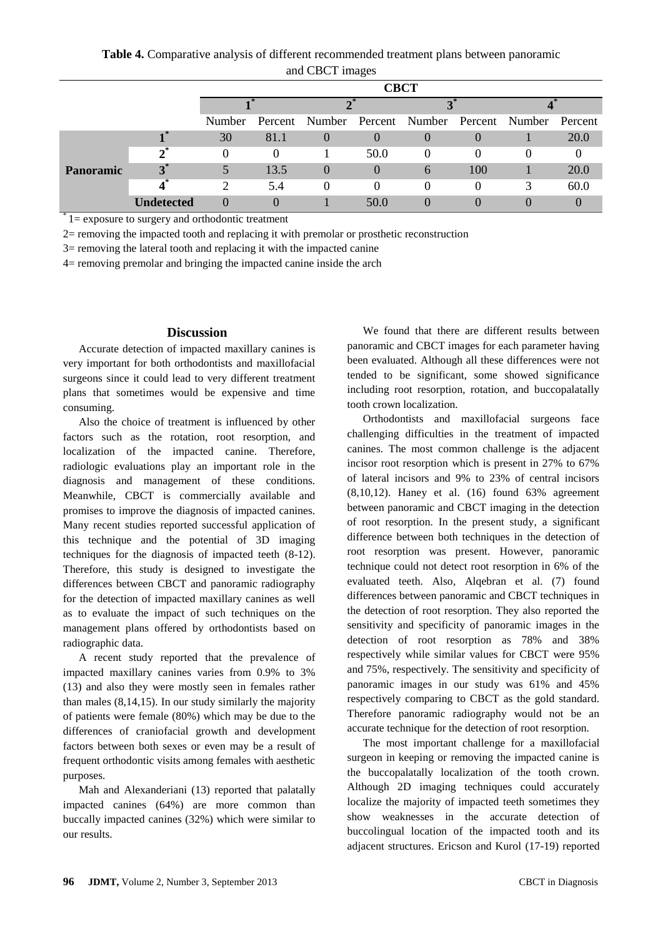**Table 4.** Comparative analysis of different recommended treatment plans between panoramic and CBCT images

|           |                   | <b>CBCT</b> |          |                  |              |               |          |                                                      |      |
|-----------|-------------------|-------------|----------|------------------|--------------|---------------|----------|------------------------------------------------------|------|
|           |                   |             |          |                  |              |               |          |                                                      |      |
|           |                   | Number      |          |                  |              |               |          | Percent Number Percent Number Percent Number Percent |      |
| Panoramic | ∎*                | 30          | 81.1     | $\left( \right)$ |              | $\theta$      |          |                                                      | 20.0 |
|           | $2^*$             |             | $\theta$ |                  | 50.0         | $\theta$      | 0        |                                                      |      |
|           | $3^*$             |             | 13.5     | $\theta$         | $\mathbf{0}$ | $\mathfrak b$ | 100      |                                                      | 20.0 |
|           |                   | າ           | 5.4      | $\Omega$         | $\theta$     | $\theta$      | $\theta$ | 3                                                    | 60.0 |
|           | <b>Indetected</b> |             |          |                  | 50.0         |               |          |                                                      |      |

 $i$  1 = exposure to surgery and orthodontic treatment

2= removing the impacted tooth and replacing it with premolar or prosthetic reconstruction

3= removing the lateral tooth and replacing it with the impacted canine

4= removing premolar and bringing the impacted canine inside the arch

#### **Discussion**

Accurate detection of impacted maxillary canines is very important for both orthodontists and maxillofacial surgeons since it could lead to very different treatment plans that sometimes would be expensive and time consuming.

Also the choice of treatment is influenced by other factors such as the rotation, root resorption, and localization of the impacted canine. Therefore, radiologic evaluations play an important role in the diagnosis and management of these conditions. Meanwhile, CBCT is commercially available and promises to improve the diagnosis of impacted canines. Many recent studies reported successful application of this technique and the potential of 3D imaging techniques for the diagnosis of impacted teeth (8-12). Therefore, this study is designed to investigate the differences between CBCT and panoramic radiography for the detection of impacted maxillary canines as well as to evaluate the impact of such techniques on the management plans offered by orthodontists based on radiographic data.

A recent study reported that the prevalence of impacted maxillary canines varies from 0.9% to 3% (13) and also they were mostly seen in females rather than males (8,14,15). In our study similarly the majority of patients were female (80%) which may be due to the differences of craniofacial growth and development factors between both sexes or even may be a result of frequent orthodontic visits among females with aesthetic purposes.

Mah and Alexanderiani (13) reported that palatally impacted canines (64%) are more common than buccally impacted canines (32%) which were similar to our results.

We found that there are different results between panoramic and CBCT images for each parameter having been evaluated. Although all these differences were not tended to be significant, some showed significance including root resorption, rotation, and buccopalatally tooth crown localization.

Orthodontists and maxillofacial surgeons face challenging difficulties in the treatment of impacted canines. The most common challenge is the adjacent incisor root resorption which is present in 27% to 67% of lateral incisors and 9% to 23% of central incisors (8,10,12). Haney et al. (16) found 63% agreement between panoramic and CBCT imaging in the detection of root resorption. In the present study, a significant difference between both techniques in the detection of root resorption was present. However, panoramic technique could not detect root resorption in 6% of the evaluated teeth. Also, Alqebran et al. (7) found differences between panoramic and CBCT techniques in the detection of root resorption. They also reported the sensitivity and specificity of panoramic images in the detection of root resorption as 78% and 38% respectively while similar values for CBCT were 95% and 75%, respectively. The sensitivity and specificity of panoramic images in our study was 61% and 45% respectively comparing to CBCT as the gold standard. Therefore panoramic radiography would not be an accurate technique for the detection of root resorption.

The most important challenge for a maxillofacial surgeon in keeping or removing the impacted canine is the buccopalatally localization of the tooth crown. Although 2D imaging techniques could accurately localize the majority of impacted teeth sometimes they show weaknesses in the accurate detection of buccolingual location of the impacted tooth and its adjacent structures. Ericson and Kurol (17-19) reported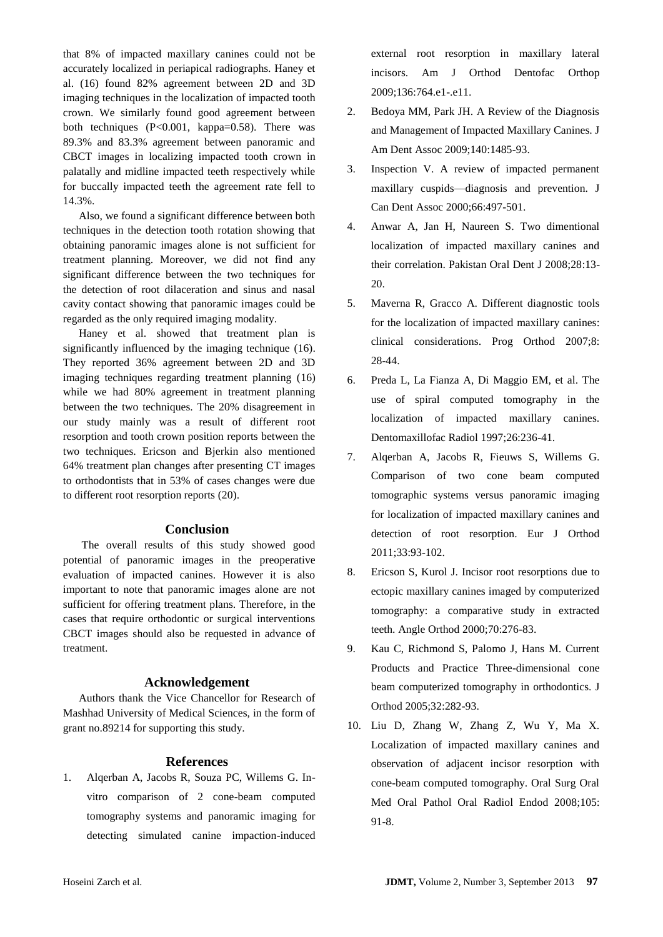that 8% of impacted maxillary canines could not be accurately localized in periapical radiographs. Haney et al. (16) found 82% agreement between 2D and 3D imaging techniques in the localization of impacted tooth crown. We similarly found good agreement between both techniques (P<0.001, kappa=0.58). There was 89.3% and 83.3% agreement between panoramic and CBCT images in localizing impacted tooth crown in palatally and midline impacted teeth respectively while for buccally impacted teeth the agreement rate fell to 14.3%.

Also, we found a significant difference between both techniques in the detection tooth rotation showing that obtaining panoramic images alone is not sufficient for treatment planning. Moreover, we did not find any significant difference between the two techniques for the detection of root dilaceration and sinus and nasal cavity contact showing that panoramic images could be regarded as the only required imaging modality.

Haney et al. showed that treatment plan is significantly influenced by the imaging technique (16). They reported 36% agreement between 2D and 3D imaging techniques regarding treatment planning [\(16\)](#page-6-0) while we had 80% agreement in treatment planning between the two techniques. The 20% disagreement in our study mainly was a result of different root resorption and tooth crown position reports between the two techniques. Ericson and Bjerkin also mentioned 64% treatment plan changes after presenting CT images to orthodontists that in 53% of cases changes were due to different root resorption reports (20).

### **Conclusion**

The overall results of this study showed good potential of panoramic images in the preoperative evaluation of impacted canines. However it is also important to note that panoramic images alone are not sufficient for offering treatment plans. Therefore, in the cases that require orthodontic or surgical interventions CBCT images should also be requested in advance of treatment.

### **Acknowledgement**

Authors thank the Vice Chancellor for Research of Mashhad University of Medical Sciences, in the form of grant no.89214 for supporting this study.

### **References**

1. Alqerban A, Jacobs R, Souza PC, Willems G. Invitro comparison of 2 cone-beam computed tomography systems and panoramic imaging for detecting simulated canine impaction-induced external root resorption in maxillary lateral incisors. Am J Orthod Dentofac Orthop 2009;136:764.e1-.e11.

- 2. Bedoya MM, Park JH. A Review of the Diagnosis and Management of Impacted Maxillary Canines. J Am Dent Assoc 2009;140:1485-93.
- 3. Inspection V. A review of impacted permanent maxillary cuspids—diagnosis and prevention. J Can Dent Assoc 2000;66:497-501.
- 4. Anwar A, Jan H, Naureen S. Two dimentional localization of impacted maxillary canines and their correlation. Pakistan Oral Dent J 2008;28:13- 20.
- 5. Maverna R, Gracco A. Different diagnostic tools for the localization of impacted maxillary canines: clinical considerations. Prog Orthod 2007;8: 28-44.
- 6. Preda L, La Fianza A, Di Maggio EM, et al. The use of spiral computed tomography in the localization of impacted maxillary canines. Dentomaxillofac Radiol 1997;26:236-41.
- 7. Alqerban A, Jacobs R, Fieuws S, Willems G. Comparison of two cone beam computed tomographic systems versus panoramic imaging for localization of impacted maxillary canines and detection of root resorption. Eur J Orthod 2011;33:93-102.
- 8. Ericson S, Kurol J. Incisor root resorptions due to ectopic maxillary canines imaged by computerized tomography: a comparative study in extracted teeth. Angle Orthod 2000;70:276-83.
- 9. Kau C, Richmond S, Palomo J, Hans M. Current Products and Practice Three-dimensional cone beam computerized tomography in orthodontics. J Orthod 2005;32:282-93.
- 10. Liu D, Zhang W, Zhang Z, Wu Y, Ma X. Localization of impacted maxillary canines and observation of adjacent incisor resorption with cone-beam computed tomography. Oral Surg Oral Med Oral Pathol Oral Radiol Endod 2008;105: 91-8.